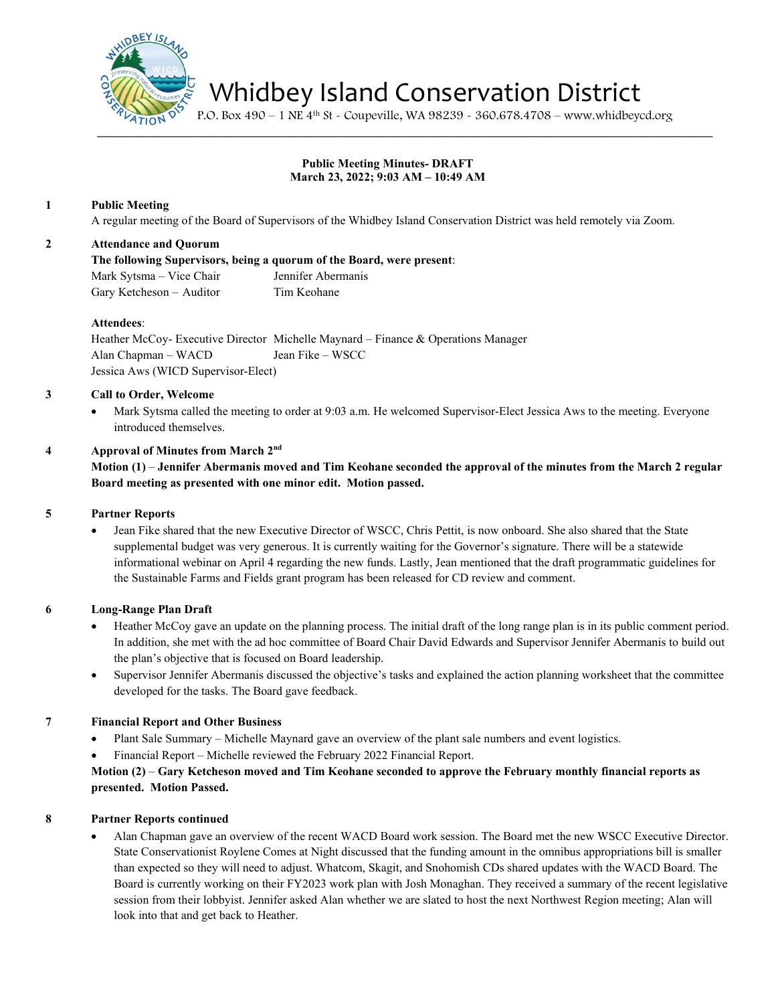

Whidbey Island Conservation District

P.O. Box 490 – 1 NE 4th St - Coupeville, WA 98239 - 360.678.4708 – www.whidbeycd.org

# **Public Meeting Minutes- DRAFT March 23, 2022; 9:03 AM – 10:49 AM**

# **1 Public Meeting**

A regular meeting of the Board of Supervisors of the Whidbey Island Conservation District was held remotely via Zoom.

#### **2 Attendance and Quorum**

**The following Supervisors, being a quorum of the Board, were present**:

Mark Sytsma – Vice Chair Jennifer Abermanis Gary Ketcheson – Auditor Tim Keohane

#### **Attendees**:

Heather McCoy- Executive Director Michelle Maynard – Finance & Operations Manager Alan Chapman – WACD Jean Fike – WSCC Jessica Aws (WICD Supervisor-Elect)

#### **3 Call to Order, Welcome**

• Mark Sytsma called the meeting to order at 9:03 a.m. He welcomed Supervisor-Elect Jessica Aws to the meeting. Everyone introduced themselves.

## **4 Approval of Minutes from March 2nd**

**Motion (1)** – **Jennifer Abermanis moved and Tim Keohane seconded the approval of the minutes from the March 2 regular Board meeting as presented with one minor edit. Motion passed.**

#### **5 Partner Reports**

• Jean Fike shared that the new Executive Director of WSCC, Chris Pettit, is now onboard. She also shared that the State supplemental budget was very generous. It is currently waiting for the Governor's signature. There will be a statewide informational webinar on April 4 regarding the new funds. Lastly, Jean mentioned that the draft programmatic guidelines for the Sustainable Farms and Fields grant program has been released for CD review and comment.

## **6 Long-Range Plan Draft**

- Heather McCoy gave an update on the planning process. The initial draft of the long range plan is in its public comment period. In addition, she met with the ad hoc committee of Board Chair David Edwards and Supervisor Jennifer Abermanis to build out the plan's objective that is focused on Board leadership.
- Supervisor Jennifer Abermanis discussed the objective's tasks and explained the action planning worksheet that the committee developed for the tasks. The Board gave feedback.

## **7 Financial Report and Other Business**

- Plant Sale Summary Michelle Maynard gave an overview of the plant sale numbers and event logistics.
- Financial Report Michelle reviewed the February 2022 Financial Report.

## **Motion (2)** – **Gary Ketcheson moved and Tim Keohane seconded to approve the February monthly financial reports as presented. Motion Passed.**

## **8 Partner Reports continued**

• Alan Chapman gave an overview of the recent WACD Board work session. The Board met the new WSCC Executive Director. State Conservationist Roylene Comes at Night discussed that the funding amount in the omnibus appropriations bill is smaller than expected so they will need to adjust. Whatcom, Skagit, and Snohomish CDs shared updates with the WACD Board. The Board is currently working on their FY2023 work plan with Josh Monaghan. They received a summary of the recent legislative session from their lobbyist. Jennifer asked Alan whether we are slated to host the next Northwest Region meeting; Alan will look into that and get back to Heather.